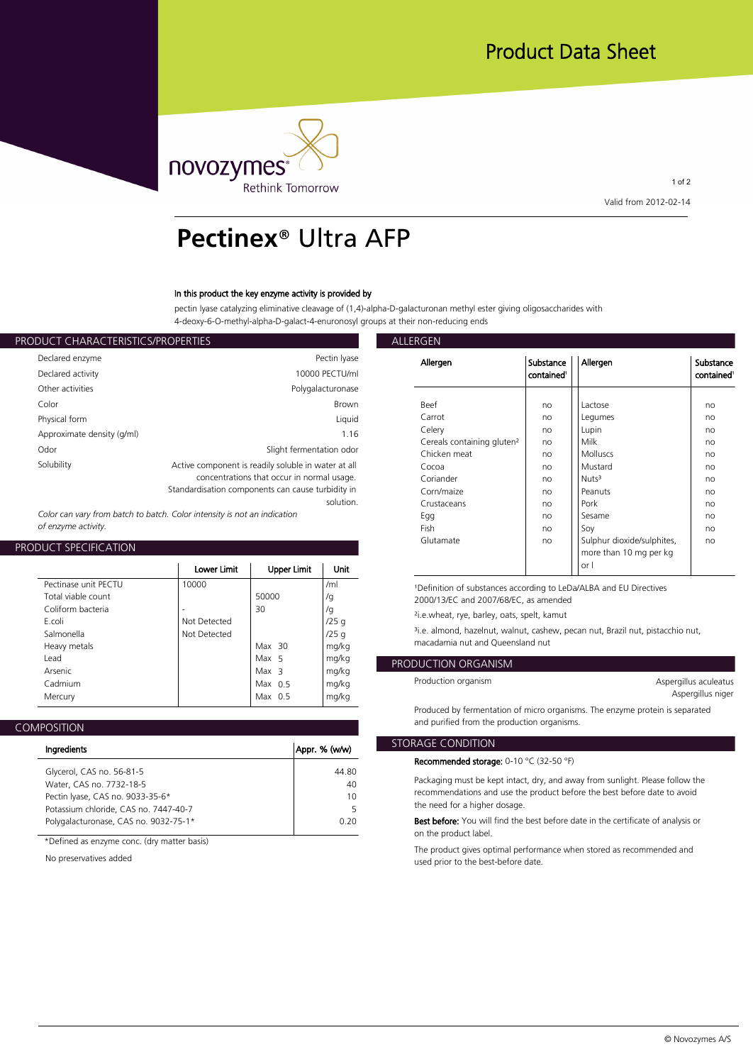

1 of 2 **Valid from 2012-02-14**

# **Pectinex**® Ultra AFP

### **In this product the key enzyme activity is provided by**

**pectin lyase catalyzing eliminative cleavage of (1,4)-alpha-D-galacturonan methyl ester giving oligosaccharides with 4-deoxy-6-O-methyl-alpha-D-galact-4-enuronosyl groups at their non-reducing ends**

| ALLERGEN           |                                                     | PRODUCT CHARACTERISTICS/PROPERTIES |
|--------------------|-----------------------------------------------------|------------------------------------|
| Allergen           | Pectin Iyase                                        | Declared enzyme                    |
|                    | 10000 PECTU/ml                                      | Declared activity                  |
|                    | Polygalacturonase                                   | Other activities                   |
| <b>Beef</b>        | <b>Brown</b>                                        | Color                              |
| Carrot             | Liquid                                              | Physical form                      |
| Celery             | 1.16                                                | Approximate density (g/ml)         |
| Cereals<br>Chicken | Slight fermentation odor                            | Odor                               |
| Cocoa              | Active component is readily soluble in water at all | Solubility                         |
| Coriand            | concentrations that occur in normal usage.          |                                    |
| Corn/ma            | Standardisation components can cause turbidity in   |                                    |
| Crustace           | solution.                                           |                                    |

*Color can vary from batch to batch. Color intensity is not an indication of enzyme activity.*

## **PRODUCT SPECIFICATION**

|                                                                                                         | Lower Limit                           | Upper Limit                                         | Unit                                     | or I                                                                                                                                                                                                                                                                                 |
|---------------------------------------------------------------------------------------------------------|---------------------------------------|-----------------------------------------------------|------------------------------------------|--------------------------------------------------------------------------------------------------------------------------------------------------------------------------------------------------------------------------------------------------------------------------------------|
| Pectinase unit PECTU<br>Total viable count<br>Coliform bacteria<br>F.coli<br>Salmonella<br>Heavy metals | 10000<br>Not Detected<br>Not Detected | 50000<br>30<br>Max $30$                             | /ml<br>/g<br>/g<br>/25q<br>/25q<br>mg/kg | <sup>1</sup> Definition of substances according to LeDa/ALBA and EU<br>2000/13/EC and 2007/68/EC, as amended<br><sup>2</sup> i.e.wheat, rye, barley, oats, spelt, kamut<br><sup>3</sup> i.e. almond, hazelnut, walnut, cashew, pecan nut, Brazil<br>macadamia nut and Queensland nut |
| Lead<br>Arsenic<br>Cadmium<br>Mercury                                                                   |                                       | Max 5<br>Max <sub>3</sub><br>Max $0.5$<br>Max $0.5$ | mg/kg<br>mg/kg<br>mg/kg<br>mg/kg         | <b>PRODUCTION ORGANISM</b><br>Production organism                                                                                                                                                                                                                                    |
|                                                                                                         |                                       |                                                     |                                          |                                                                                                                                                                                                                                                                                      |

| Ingredients                           | Appr. % (w/w) | <b>STORAGE C</b> |
|---------------------------------------|---------------|------------------|
|                                       |               | Recommo          |
| Glycerol, CAS no. 56-81-5             | 44.80         |                  |
| Water, CAS no. 7732-18-5              | 40            | Packagin         |
| Pectin Iyase, CAS no. 9033-35-6*      | 10            | recomme          |
| Potassium chloride, CAS no. 7447-40-7 | 5             | the need         |
| Polygalacturonase, CAS no. 9032-75-1* | 0.20          | <b>Best befo</b> |
|                                       |               |                  |

**\*Defined as enzyme conc. (dry matter basis)**

**No preservatives added**

| Allergen                               | Substance<br>contained <sup>1</sup> | Allergen                   | Substance<br>contained <sup>1</sup> |
|----------------------------------------|-------------------------------------|----------------------------|-------------------------------------|
|                                        |                                     |                            |                                     |
| Beef                                   | no                                  | Lactose                    | no                                  |
| Carrot                                 | no                                  | Legumes                    | no                                  |
| Celery                                 | no                                  | Lupin                      | no                                  |
| Cereals containing gluten <sup>2</sup> | no                                  | Milk                       | no                                  |
| Chicken meat                           | no                                  | Molluscs                   | no                                  |
| Cocoa                                  | no                                  | Mustard                    | no                                  |
| Coriander                              | no                                  | Nuts <sup>3</sup>          | no                                  |
| Corn/maize                             | no                                  | Peanuts                    | no                                  |
| Crustaceans                            | no                                  | Pork                       | no                                  |
| Egg                                    | no                                  | Sesame                     | no                                  |
| Fish                                   | no                                  | Soy                        | no                                  |
| Glutamate                              | no                                  | Sulphur dioxide/sulphites, | no                                  |
|                                        |                                     | more than 10 mg per kg     |                                     |
|                                        |                                     | or I                       |                                     |

**¹Definition of substances according to LeDa/ALBA and EU Directives** 

**/g 2000/13/EC and 2007/68/EC, as amended**

**/25 g ³i.e. almond, hazelnut, walnut, cashew, pecan nut, Brazil nut, pistacchio nut, mg/kg macadamia nut and Queensland nut**

# **mg/kg PRODUCTION ORGANISM**

| Aspergillus aculeatus |  |
|-----------------------|--|
| Aspergillus niger     |  |

**Produced by fermentation of micro organisms. The enzyme protein is separated and purified from the production organisms.**

## **STORAGE CONDITION**

**Recommended storage: 0-10 °C (32-50 °F)**

**40 Packaging must be kept intact, dry, and away from sunlight. Please follow the 10 recommendations and use the product before the best before date to avoid 5 the need for a higher dosage.**

**0.20 Best before: You will find the best before date in the certificate of analysis or on the product label.**

> **The product gives optimal performance when stored as recommended and used prior to the best-before date.**